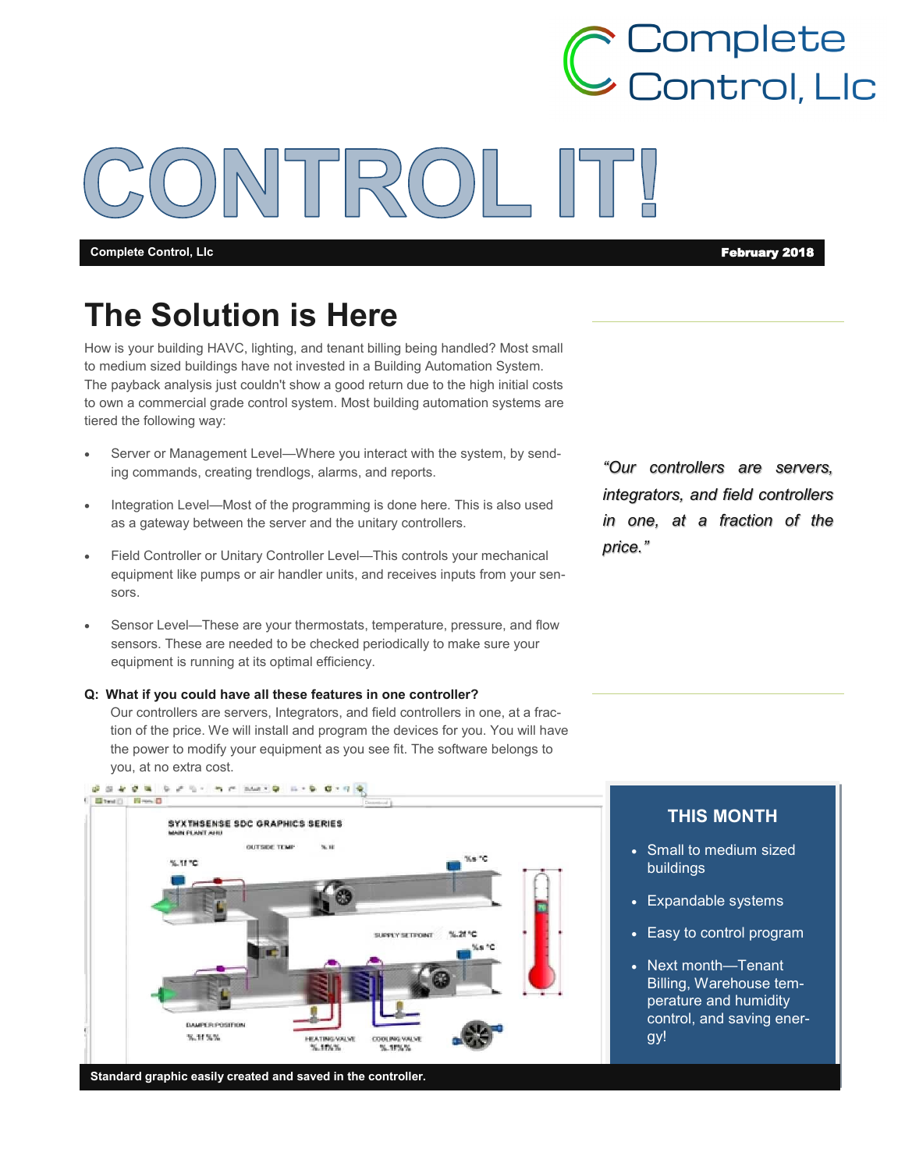**Complete Control, Llc** February 2018

**← Complete<br>→ Control, Llc** 

# **The Solution is Here**

How is your building HAVC, lighting, and tenant billing being handled? Most small to medium sized buildings have not invested in a Building Automation System. The payback analysis just couldn't show a good return due to the high initial costs to own a commercial grade control system. Most building automation systems are tiered the following way:

- Server or Management Level—Where you interact with the system, by sending commands, creating trendlogs, alarms, and reports.
- Integration Level—Most of the programming is done here. This is also used as a gateway between the server and the unitary controllers.
- Field Controller or Unitary Controller Level—This controls your mechanical equipment like pumps or air handler units, and receives inputs from your sensors.
- Sensor Level—These are your thermostats, temperature, pressure, and flow sensors. These are needed to be checked periodically to make sure your equipment is running at its optimal efficiency.

**Q: What if you could have all these features in one controller?**

Our controllers are servers, Integrators, and field controllers in one, at a fraction of the price. We will install and program the devices for you. You will have the power to modify your equipment as you see fit. The software belongs to you, at no extra cost.

*"Our controllers are servers, integrators, and field controllers in one, at a fraction of the price."*



### **THIS MONTH**

- Small to medium sized buildings
- Expandable systems
- Easy to control program
- Next month—Tenant Billing, Warehouse temperature and humidity control, and saving energy!